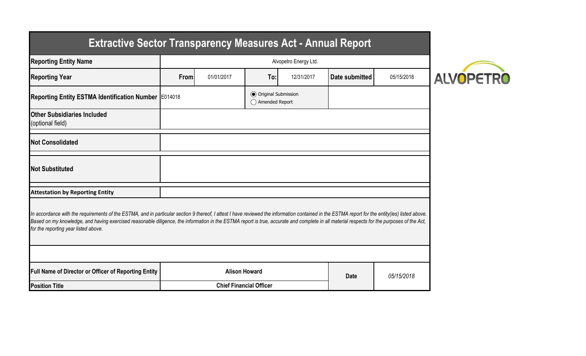| <b>Reporting Entity Name</b>                                                                                                                                                                                                                                                                                                                                                                                                          | Alvopetro Energy Ltd. |            |                                           |            |                |            |  |  |
|---------------------------------------------------------------------------------------------------------------------------------------------------------------------------------------------------------------------------------------------------------------------------------------------------------------------------------------------------------------------------------------------------------------------------------------|-----------------------|------------|-------------------------------------------|------------|----------------|------------|--|--|
| <b>Reporting Year</b>                                                                                                                                                                                                                                                                                                                                                                                                                 | From                  | 01/01/2017 | To:                                       | 12/31/2017 | Date submitted | 05/15/2018 |  |  |
| Reporting Entity ESTMA Identification Number E014018                                                                                                                                                                                                                                                                                                                                                                                  |                       |            | ◯ Original Submission<br>◯ Amended Report |            |                |            |  |  |
| <b>Other Subsidiaries Included</b><br>(optional field)                                                                                                                                                                                                                                                                                                                                                                                |                       |            |                                           |            |                |            |  |  |
| <b>Not Consolidated</b>                                                                                                                                                                                                                                                                                                                                                                                                               |                       |            |                                           |            |                |            |  |  |
| <b>Not Substituted</b>                                                                                                                                                                                                                                                                                                                                                                                                                |                       |            |                                           |            |                |            |  |  |
| <b>Attestation by Reporting Entity</b>                                                                                                                                                                                                                                                                                                                                                                                                |                       |            |                                           |            |                |            |  |  |
| In accordance with the requirements of the ESTMA, and in particular section 9 thereof, I attest I have reviewed the information contained in the ESTMA report for the entity(ies) listed above.<br>Based on my knowledge, and having exercised reasonable diligence, the information in the ESTMA report is true, accurate and complete in all material respects for the purposes of the Act,<br>for the reporting year listed above. |                       |            |                                           |            |                |            |  |  |
|                                                                                                                                                                                                                                                                                                                                                                                                                                       |                       |            |                                           |            |                |            |  |  |
| <b>Full Name of Director or Officer of Reporting Entity</b>                                                                                                                                                                                                                                                                                                                                                                           | <b>Alison Howard</b>  |            | <b>Date</b>                               | 05/15/2018 |                |            |  |  |
|                                                                                                                                                                                                                                                                                                                                                                                                                                       |                       |            |                                           |            |                |            |  |  |

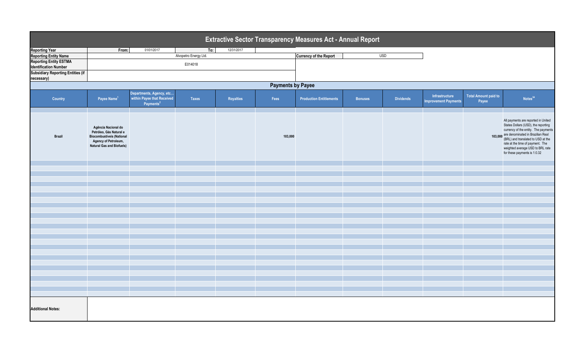| Extractive Sector Transparency Measures Act - Annual Report                      |                                                                                                                                                |                                                                                 |                       |                  |         |                                |                |                  |                                       |                                      |                                                                                                                                                                                                                                                                                                               |
|----------------------------------------------------------------------------------|------------------------------------------------------------------------------------------------------------------------------------------------|---------------------------------------------------------------------------------|-----------------------|------------------|---------|--------------------------------|----------------|------------------|---------------------------------------|--------------------------------------|---------------------------------------------------------------------------------------------------------------------------------------------------------------------------------------------------------------------------------------------------------------------------------------------------------------|
| <b>Reporting Year</b>                                                            | From:                                                                                                                                          | 01/01/2017                                                                      | To:                   | 12/31/2017       |         |                                |                |                  |                                       |                                      |                                                                                                                                                                                                                                                                                                               |
| <b>Reporting Entity Name</b>                                                     |                                                                                                                                                |                                                                                 | Alvopetro Energy Ltd. |                  |         | <b>Currency of the Report</b>  | <b>USD</b>     |                  |                                       |                                      |                                                                                                                                                                                                                                                                                                               |
| <b>Reporting Entity ESTMA</b>                                                    | E014018                                                                                                                                        |                                                                                 |                       |                  |         |                                |                |                  |                                       |                                      |                                                                                                                                                                                                                                                                                                               |
| <b>Identification Number<br/>Subsidiary Reporting Entities (if</b><br>necessary) |                                                                                                                                                |                                                                                 |                       |                  |         |                                |                |                  |                                       |                                      |                                                                                                                                                                                                                                                                                                               |
|                                                                                  | <b>Payments by Payee</b>                                                                                                                       |                                                                                 |                       |                  |         |                                |                |                  |                                       |                                      |                                                                                                                                                                                                                                                                                                               |
| Country                                                                          | Payee Name <sup>1</sup>                                                                                                                        | Departments, Agency, etc<br>within Payee that Received<br>Payments <sup>2</sup> | <b>Taxes</b>          | <b>Royalties</b> | Fees    | <b>Production Entitlements</b> | <b>Bonuses</b> | <b>Dividends</b> | Infrastructure<br>mprovement Payments | <b>Total Amount paid to</b><br>Payee | Notes <sup>34</sup>                                                                                                                                                                                                                                                                                           |
| <b>Brazil</b>                                                                    | Agência Nacional do<br>Petróleo, Gás Natural e<br><b>Biocombustíveis (National</b><br>Agency of Petroleum,<br><b>Natural Gas and Biofuels)</b> |                                                                                 |                       |                  | 103,000 |                                |                |                  |                                       |                                      | All payments are reported in United<br>States Dollars (USD), the reporting<br>currency of the entity. The payments<br>103,000 are denominated in Brazilian Real<br>(BRL) and translated to USD at the<br>rate at the time of payment. The<br>weighted average USD to BRL rate<br>for these payments is 1:0.32 |
|                                                                                  |                                                                                                                                                |                                                                                 |                       |                  |         |                                |                |                  |                                       |                                      |                                                                                                                                                                                                                                                                                                               |
|                                                                                  |                                                                                                                                                |                                                                                 |                       |                  |         |                                |                |                  |                                       |                                      |                                                                                                                                                                                                                                                                                                               |
|                                                                                  |                                                                                                                                                |                                                                                 |                       |                  |         |                                |                |                  |                                       |                                      |                                                                                                                                                                                                                                                                                                               |
|                                                                                  |                                                                                                                                                |                                                                                 |                       |                  |         |                                |                |                  |                                       |                                      |                                                                                                                                                                                                                                                                                                               |
|                                                                                  |                                                                                                                                                |                                                                                 |                       |                  |         |                                |                |                  |                                       |                                      |                                                                                                                                                                                                                                                                                                               |
|                                                                                  |                                                                                                                                                |                                                                                 |                       |                  |         |                                |                |                  |                                       |                                      |                                                                                                                                                                                                                                                                                                               |
|                                                                                  |                                                                                                                                                |                                                                                 |                       |                  |         |                                |                |                  |                                       |                                      |                                                                                                                                                                                                                                                                                                               |
|                                                                                  |                                                                                                                                                |                                                                                 |                       |                  |         |                                |                |                  |                                       |                                      |                                                                                                                                                                                                                                                                                                               |
|                                                                                  |                                                                                                                                                |                                                                                 |                       |                  |         |                                |                |                  |                                       |                                      |                                                                                                                                                                                                                                                                                                               |
|                                                                                  |                                                                                                                                                |                                                                                 |                       |                  |         |                                |                |                  |                                       |                                      |                                                                                                                                                                                                                                                                                                               |
|                                                                                  |                                                                                                                                                |                                                                                 |                       |                  |         |                                |                |                  |                                       |                                      |                                                                                                                                                                                                                                                                                                               |
|                                                                                  |                                                                                                                                                |                                                                                 |                       |                  |         |                                |                |                  |                                       |                                      |                                                                                                                                                                                                                                                                                                               |
|                                                                                  |                                                                                                                                                |                                                                                 |                       |                  |         |                                |                |                  |                                       |                                      |                                                                                                                                                                                                                                                                                                               |
|                                                                                  |                                                                                                                                                |                                                                                 |                       |                  |         |                                |                |                  |                                       |                                      |                                                                                                                                                                                                                                                                                                               |
|                                                                                  |                                                                                                                                                |                                                                                 |                       |                  |         |                                |                |                  |                                       |                                      |                                                                                                                                                                                                                                                                                                               |
|                                                                                  |                                                                                                                                                |                                                                                 |                       |                  |         |                                |                |                  |                                       |                                      |                                                                                                                                                                                                                                                                                                               |
|                                                                                  |                                                                                                                                                |                                                                                 |                       |                  |         |                                |                |                  |                                       |                                      |                                                                                                                                                                                                                                                                                                               |
|                                                                                  |                                                                                                                                                |                                                                                 |                       |                  |         |                                |                |                  |                                       |                                      |                                                                                                                                                                                                                                                                                                               |
|                                                                                  |                                                                                                                                                |                                                                                 |                       |                  |         |                                |                |                  |                                       |                                      |                                                                                                                                                                                                                                                                                                               |
|                                                                                  |                                                                                                                                                |                                                                                 |                       |                  |         |                                |                |                  |                                       |                                      |                                                                                                                                                                                                                                                                                                               |
|                                                                                  |                                                                                                                                                |                                                                                 |                       |                  |         |                                |                |                  |                                       |                                      |                                                                                                                                                                                                                                                                                                               |
|                                                                                  |                                                                                                                                                |                                                                                 |                       |                  |         |                                |                |                  |                                       |                                      |                                                                                                                                                                                                                                                                                                               |
|                                                                                  |                                                                                                                                                |                                                                                 |                       |                  |         |                                |                |                  |                                       |                                      |                                                                                                                                                                                                                                                                                                               |
|                                                                                  |                                                                                                                                                |                                                                                 |                       |                  |         |                                |                |                  |                                       |                                      |                                                                                                                                                                                                                                                                                                               |
| <b>Additional Notes:</b>                                                         |                                                                                                                                                |                                                                                 |                       |                  |         |                                |                |                  |                                       |                                      |                                                                                                                                                                                                                                                                                                               |